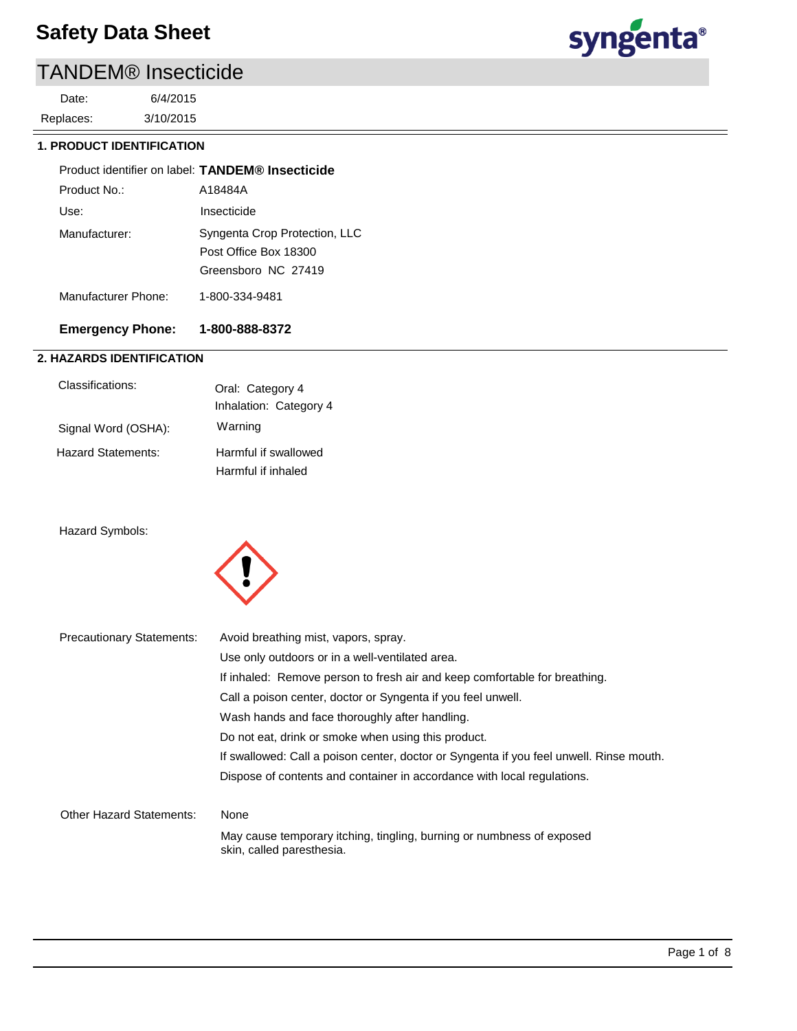# TANDEM® Insecticide

3/10/2015 6/4/2015 Replaces: Date:

### **1. PRODUCT IDENTIFICATION**

|                     | Product identifier on label: TANDEM® Insecticide                              |
|---------------------|-------------------------------------------------------------------------------|
| Product No :        | A18484A                                                                       |
| Use:                | Insecticide                                                                   |
| Manufacturer:       | Syngenta Crop Protection, LLC<br>Post Office Box 18300<br>Greensboro NC 27419 |
| Manufacturer Phone: | 1-800-334-9481                                                                |
|                     |                                                                               |

### **Emergency Phone: 1-800-888-8372**

### **2. HAZARDS IDENTIFICATION**

| Classifications:    | Oral: Category 4<br>Inhalation: Category 4 |
|---------------------|--------------------------------------------|
| Signal Word (OSHA): | Warning                                    |
| Hazard Statements:  | Harmful if swallowed<br>Harmful if inhaled |

### Hazard Symbols:



| <b>Precautionary Statements:</b> | Avoid breathing mist, vapors, spray.                                                               |
|----------------------------------|----------------------------------------------------------------------------------------------------|
|                                  | Use only outdoors or in a well-ventilated area.                                                    |
|                                  | If inhaled: Remove person to fresh air and keep comfortable for breathing.                         |
|                                  | Call a poison center, doctor or Syngenta if you feel unwell.                                       |
|                                  | Wash hands and face thoroughly after handling.                                                     |
|                                  | Do not eat, drink or smoke when using this product.                                                |
|                                  | If swallowed: Call a poison center, doctor or Syngenta if you feel unwell. Rinse mouth.            |
|                                  | Dispose of contents and container in accordance with local regulations.                            |
| <b>Other Hazard Statements:</b>  | None                                                                                               |
|                                  | May cause temporary itching, tingling, burning or numbness of exposed<br>skin, called paresthesia. |

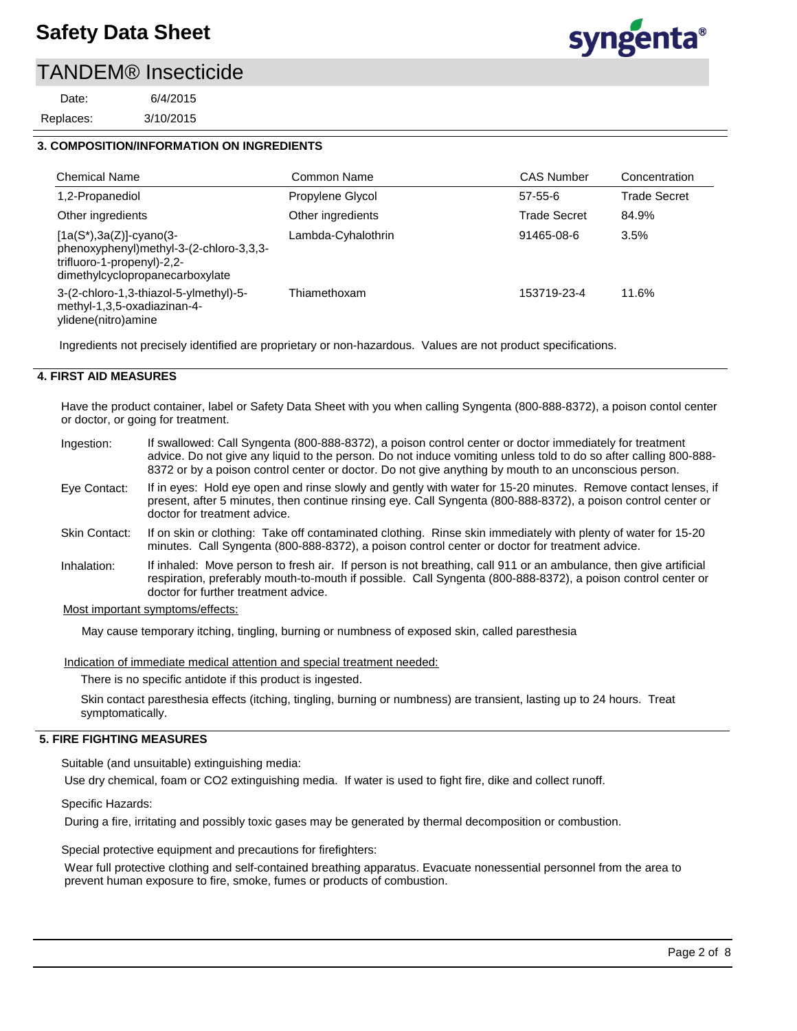### TANDEM® Insecticide

3/10/2015 6/4/2015 Replaces: Date:



### **3. COMPOSITION/INFORMATION ON INGREDIENTS**

| <b>Chemical Name</b>                                                                                                                    | Common Name        | <b>CAS Number</b>   | Concentration       |
|-----------------------------------------------------------------------------------------------------------------------------------------|--------------------|---------------------|---------------------|
| 1,2-Propanediol                                                                                                                         | Propylene Glycol   | $57 - 55 - 6$       | <b>Trade Secret</b> |
| Other ingredients                                                                                                                       | Other ingredients  | <b>Trade Secret</b> | 84.9%               |
| $[1a(S*), 3a(Z)]$ -cyano(3-<br>phenoxyphenyl)methyl-3-(2-chloro-3,3,3-<br>trifluoro-1-propenyl)-2,2-<br>dimethylcyclopropanecarboxylate | Lambda-Cyhalothrin | 91465-08-6          | 3.5%                |
| 3-(2-chloro-1,3-thiazol-5-ylmethyl)-5-<br>methyl-1,3,5-oxadiazinan-4-<br>ylidene(nitro)amine                                            | Thiamethoxam       | 153719-23-4         | 11.6%               |

Ingredients not precisely identified are proprietary or non-hazardous. Values are not product specifications.

### **4. FIRST AID MEASURES**

Have the product container, label or Safety Data Sheet with you when calling Syngenta (800-888-8372), a poison contol center or doctor, or going for treatment.

- If swallowed: Call Syngenta (800-888-8372), a poison control center or doctor immediately for treatment advice. Do not give any liquid to the person. Do not induce vomiting unless told to do so after calling 800-888- 8372 or by a poison control center or doctor. Do not give anything by mouth to an unconscious person. Ingestion:
- If in eyes: Hold eye open and rinse slowly and gently with water for 15-20 minutes. Remove contact lenses, if present, after 5 minutes, then continue rinsing eye. Call Syngenta (800-888-8372), a poison control center or doctor for treatment advice. Eye Contact:
- If on skin or clothing: Take off contaminated clothing. Rinse skin immediately with plenty of water for 15-20 minutes. Call Syngenta (800-888-8372), a poison control center or doctor for treatment advice. Skin Contact:
- If inhaled: Move person to fresh air. If person is not breathing, call 911 or an ambulance, then give artificial respiration, preferably mouth-to-mouth if possible. Call Syngenta (800-888-8372), a poison control center or doctor for further treatment advice. Inhalation:

#### Most important symptoms/effects:

May cause temporary itching, tingling, burning or numbness of exposed skin, called paresthesia

Indication of immediate medical attention and special treatment needed:

There is no specific antidote if this product is ingested.

Skin contact paresthesia effects (itching, tingling, burning or numbness) are transient, lasting up to 24 hours. Treat symptomatically.

#### **5. FIRE FIGHTING MEASURES**

Suitable (and unsuitable) extinguishing media:

Use dry chemical, foam or CO2 extinguishing media. If water is used to fight fire, dike and collect runoff.

#### Specific Hazards:

During a fire, irritating and possibly toxic gases may be generated by thermal decomposition or combustion.

Special protective equipment and precautions for firefighters:

Wear full protective clothing and self-contained breathing apparatus. Evacuate nonessential personnel from the area to prevent human exposure to fire, smoke, fumes or products of combustion.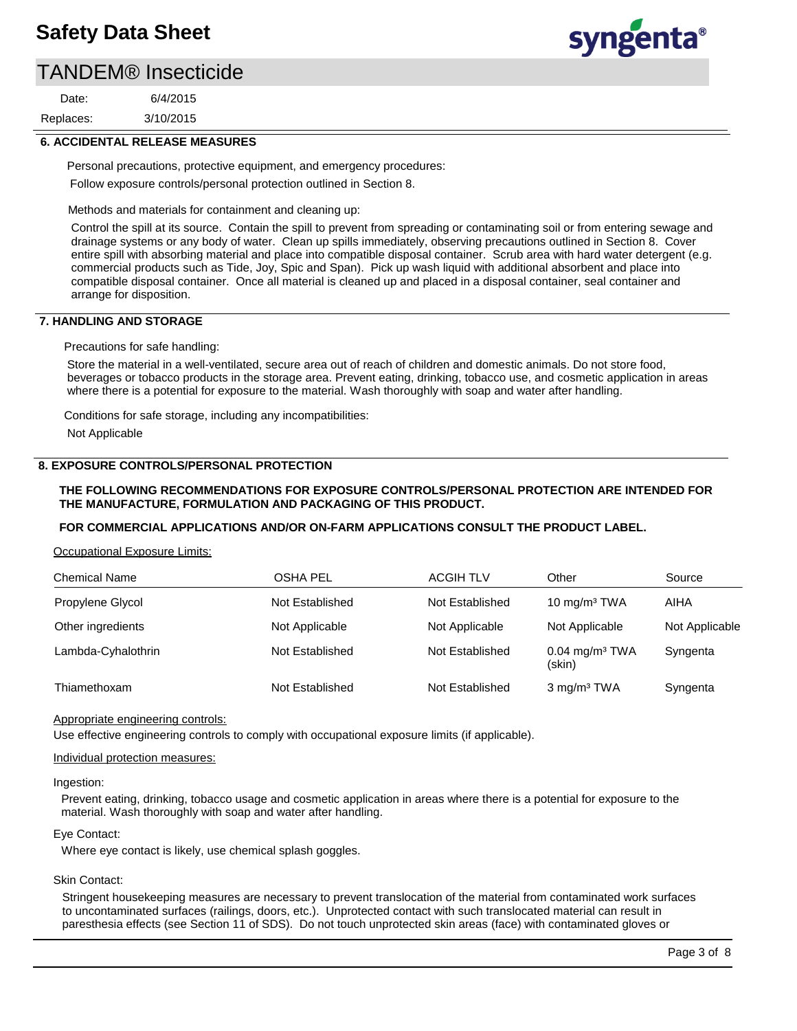### TANDEM® Insecticide

3/10/2015 6/4/2015 Replaces: Date:

# syngenta®

### **6. ACCIDENTAL RELEASE MEASURES**

Personal precautions, protective equipment, and emergency procedures: Follow exposure controls/personal protection outlined in Section 8.

Methods and materials for containment and cleaning up:

Control the spill at its source. Contain the spill to prevent from spreading or contaminating soil or from entering sewage and drainage systems or any body of water. Clean up spills immediately, observing precautions outlined in Section 8. Cover entire spill with absorbing material and place into compatible disposal container. Scrub area with hard water detergent (e.g. commercial products such as Tide, Joy, Spic and Span). Pick up wash liquid with additional absorbent and place into compatible disposal container. Once all material is cleaned up and placed in a disposal container, seal container and arrange for disposition.

### **7. HANDLING AND STORAGE**

Precautions for safe handling:

Store the material in a well-ventilated, secure area out of reach of children and domestic animals. Do not store food, beverages or tobacco products in the storage area. Prevent eating, drinking, tobacco use, and cosmetic application in areas where there is a potential for exposure to the material. Wash thoroughly with soap and water after handling.

Conditions for safe storage, including any incompatibilities:

Not Applicable

### **8. EXPOSURE CONTROLS/PERSONAL PROTECTION**

### **THE FOLLOWING RECOMMENDATIONS FOR EXPOSURE CONTROLS/PERSONAL PROTECTION ARE INTENDED FOR THE MANUFACTURE, FORMULATION AND PACKAGING OF THIS PRODUCT.**

### **FOR COMMERCIAL APPLICATIONS AND/OR ON-FARM APPLICATIONS CONSULT THE PRODUCT LABEL.**

Occupational Exposure Limits:

| <b>Chemical Name</b> | <b>OSHA PEL</b> | <b>ACGIH TLV</b> | Other                                  | Source         |
|----------------------|-----------------|------------------|----------------------------------------|----------------|
| Propylene Glycol     | Not Established | Not Established  | 10 mg/m <sup>3</sup> TWA               | AIHA           |
| Other ingredients    | Not Applicable  | Not Applicable   | Not Applicable                         | Not Applicable |
| Lambda-Cyhalothrin   | Not Established | Not Established  | $0.04$ mg/m <sup>3</sup> TWA<br>(skin) | Syngenta       |
| Thiamethoxam         | Not Established | Not Established  | 3 mg/m <sup>3</sup> TWA                | Syngenta       |

#### Appropriate engineering controls:

Use effective engineering controls to comply with occupational exposure limits (if applicable).

#### Individual protection measures:

#### Ingestion:

Prevent eating, drinking, tobacco usage and cosmetic application in areas where there is a potential for exposure to the material. Wash thoroughly with soap and water after handling.

#### Eye Contact:

Where eye contact is likely, use chemical splash goggles.

### Skin Contact:

Stringent housekeeping measures are necessary to prevent translocation of the material from contaminated work surfaces to uncontaminated surfaces (railings, doors, etc.). Unprotected contact with such translocated material can result in paresthesia effects (see Section 11 of SDS). Do not touch unprotected skin areas (face) with contaminated gloves or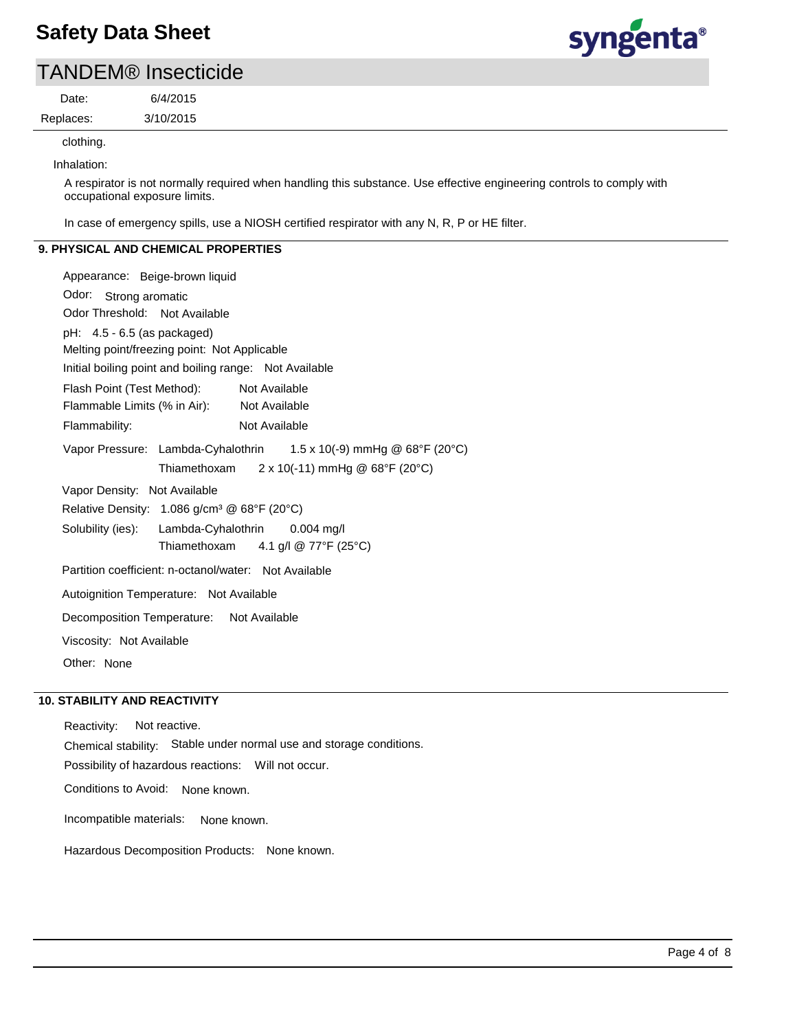

### TANDEM® Insecticide

Replaces: Date:

3/10/2015

6/4/2015

clothing.

Inhalation:

A respirator is not normally required when handling this substance. Use effective engineering controls to comply with occupational exposure limits.

In case of emergency spills, use a NIOSH certified respirator with any N, R, P or HE filter.

### **9. PHYSICAL AND CHEMICAL PROPERTIES**

Odor: Strong aromatic Appearance: Beige-brown liquid Vapor Pressure: Lambda-Cyhalothrin Solubility (ies): pH: 4.5 - 6.5 (as packaged) Initial boiling point and boiling range: Not Available Melting point/freezing point: Not Applicable Odor Threshold: Not Available Not Available Flammability: Not Available Not Available Autoignition Temperature: Not Available Flash Point (Test Method): Flammable Limits (% in Air): Vapor Density: Not Available Relative Density: 1.086 g/cm<sup>3</sup> @ 68°F (20°C) Decomposition Temperature: Not Available Viscosity: Not Available Partition coefficient: n-octanol/water: Not Available Other: None  $1.5 \times 10(-9)$  mmHg @ 68°F (20°C) Thiamethoxam  $2 \times 10(-11)$  mmHg @ 68°F (20°C) Lambda-Cyhalothrin 0.004 mg/l Thiamethoxam 4.1 g/l @ 77°F (25°C)

### **10. STABILITY AND REACTIVITY**

Possibility of hazardous reactions: Will not occur. Chemical stability: Stable under normal use and storage conditions. Reactivity: Not reactive. Conditions to Avoid: None known.

Incompatible materials: None known.

Hazardous Decomposition Products: None known.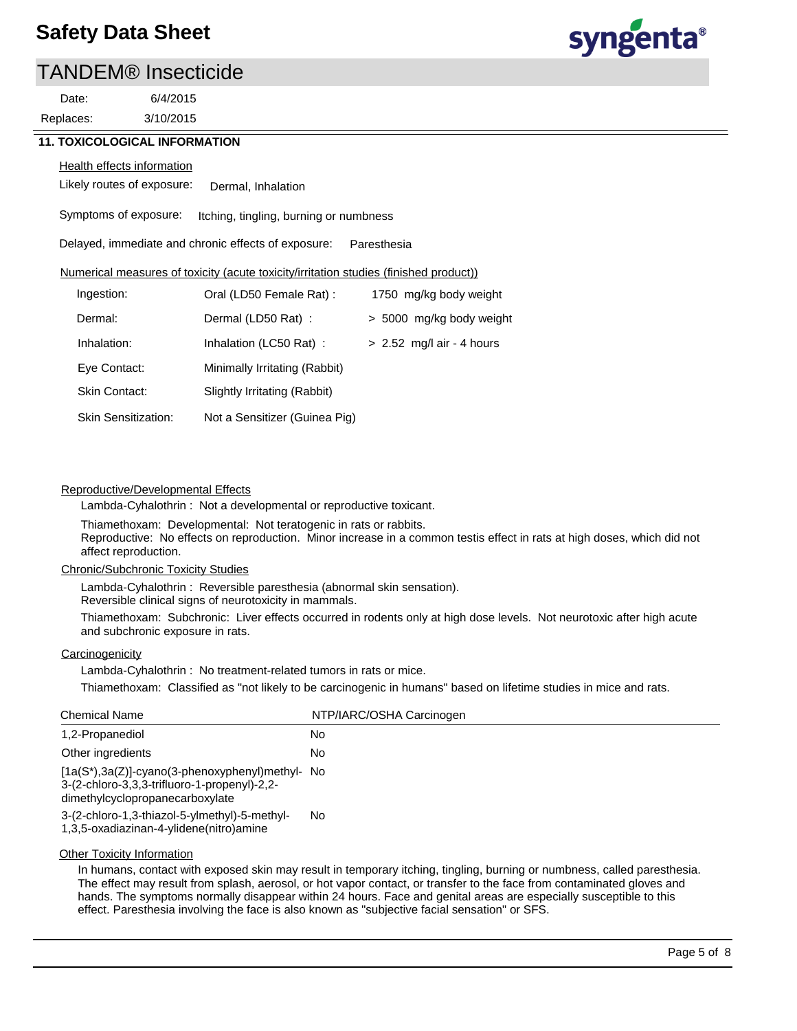### TANDEM® Insecticide

3/10/2015 6/4/2015 Replaces: Date:



### **11. TOXICOLOGICAL INFORMATION**

#### **Health effects information**

Likely routes of exposure: Dermal, Inhalation

Symptoms of exposure: Itching, tingling, burning or numbness

Delayed, immediate and chronic effects of exposure: Paresthesia

### Numerical measures of toxicity (acute toxicity/irritation studies (finished product))

| Ingestion:                 | Oral (LD50 Female Rat):       | 1750 mg/kg body weight      |
|----------------------------|-------------------------------|-----------------------------|
| Dermal:                    | Dermal (LD50 Rat):            | > 5000 mg/kg body weight    |
| Inhalation:                | Inhalation (LC50 Rat):        | $> 2.52$ mg/l air - 4 hours |
| Eye Contact:               | Minimally Irritating (Rabbit) |                             |
| Skin Contact:              | Slightly Irritating (Rabbit)  |                             |
| <b>Skin Sensitization:</b> | Not a Sensitizer (Guinea Pig) |                             |

### Reproductive/Developmental Effects

Lambda-Cyhalothrin : Not a developmental or reproductive toxicant.

Thiamethoxam: Developmental: Not teratogenic in rats or rabbits. Reproductive: No effects on reproduction. Minor increase in a common testis effect in rats at high doses, which did not affect reproduction.

### Chronic/Subchronic Toxicity Studies

Lambda-Cyhalothrin : Reversible paresthesia (abnormal skin sensation).

Reversible clinical signs of neurotoxicity in mammals.

Thiamethoxam: Subchronic: Liver effects occurred in rodents only at high dose levels. Not neurotoxic after high acute and subchronic exposure in rats.

### **Carcinogenicity**

Lambda-Cyhalothrin : No treatment-related tumors in rats or mice.

Thiamethoxam: Classified as "not likely to be carcinogenic in humans" based on lifetime studies in mice and rats.

| <b>Chemical Name</b>                                                                                                                     | NTP/IARC/OSHA Carcinogen |
|------------------------------------------------------------------------------------------------------------------------------------------|--------------------------|
| 1,2-Propanediol                                                                                                                          | No.                      |
| Other ingredients                                                                                                                        | No.                      |
| $[1a(S^*)$ , 3a(Z)]-cyano(3-phenoxyphenyl) methyl- No<br>3-(2-chloro-3,3,3-trifluoro-1-propenyl)-2,2-<br>dimethylcyclopropanecarboxylate |                          |
| 3-(2-chloro-1,3-thiazol-5-ylmethyl)-5-methyl-<br>1,3,5-oxadiazinan-4-ylidene(nitro)amine                                                 | No                       |

#### **Other Toxicity Information**

In humans, contact with exposed skin may result in temporary itching, tingling, burning or numbness, called paresthesia. The effect may result from splash, aerosol, or hot vapor contact, or transfer to the face from contaminated gloves and hands. The symptoms normally disappear within 24 hours. Face and genital areas are especially susceptible to this effect. Paresthesia involving the face is also known as "subjective facial sensation" or SFS.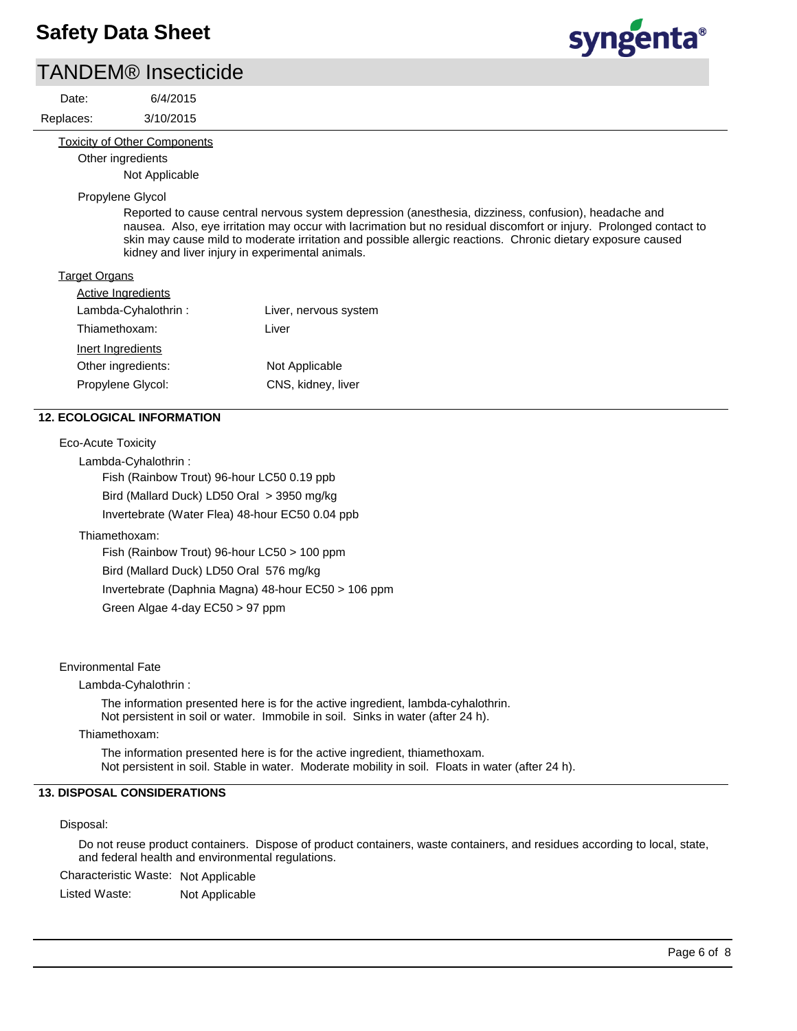### TANDEM® Insecticide

3/10/2015 6/4/2015 Replaces: Date:

syngenta®

#### Toxicity of Other Components

Other ingredients

Not Applicable

### Propylene Glycol

Reported to cause central nervous system depression (anesthesia, dizziness, confusion), headache and nausea. Also, eye irritation may occur with lacrimation but no residual discomfort or injury. Prolonged contact to skin may cause mild to moderate irritation and possible allergic reactions. Chronic dietary exposure caused kidney and liver injury in experimental animals.

### Target Organs

| <b>Active Ingredients</b> |                       |
|---------------------------|-----------------------|
| Lambda-Cyhalothrin:       | Liver, nervous system |
| Thiamethoxam:             | Liver                 |
| Inert Ingredients         |                       |
| Other ingredients:        | Not Applicable        |
| Propylene Glycol:         | CNS, kidney, liver    |

### **12. ECOLOGICAL INFORMATION**

| Eco-Acute Toxicity                                  |
|-----------------------------------------------------|
| Lambda-Cyhalothrin:                                 |
| Fish (Rainbow Trout) 96-hour LC50 0.19 ppb          |
| Bird (Mallard Duck) LD50 Oral $>$ 3950 mg/kg        |
| Invertebrate (Water Flea) 48-hour EC50 0.04 ppb     |
| Thiamethoxam:                                       |
| Fish (Rainbow Trout) 96-hour $LC50 > 100$ ppm       |
| Bird (Mallard Duck) LD50 Oral 576 mg/kg             |
| Invertebrate (Daphnia Magna) 48-hour EC50 > 106 ppm |

Green Algae 4-day EC50 > 97 ppm

### Environmental Fate

Lambda-Cyhalothrin :

The information presented here is for the active ingredient, lambda-cyhalothrin. Not persistent in soil or water. Immobile in soil. Sinks in water (after 24 h).

#### Thiamethoxam:

The information presented here is for the active ingredient, thiamethoxam. Not persistent in soil. Stable in water. Moderate mobility in soil. Floats in water (after 24 h).

### **13. DISPOSAL CONSIDERATIONS**

#### Disposal:

Do not reuse product containers. Dispose of product containers, waste containers, and residues according to local, state, and federal health and environmental regulations.

Characteristic Waste: Not Applicable

Listed Waste: Not Applicable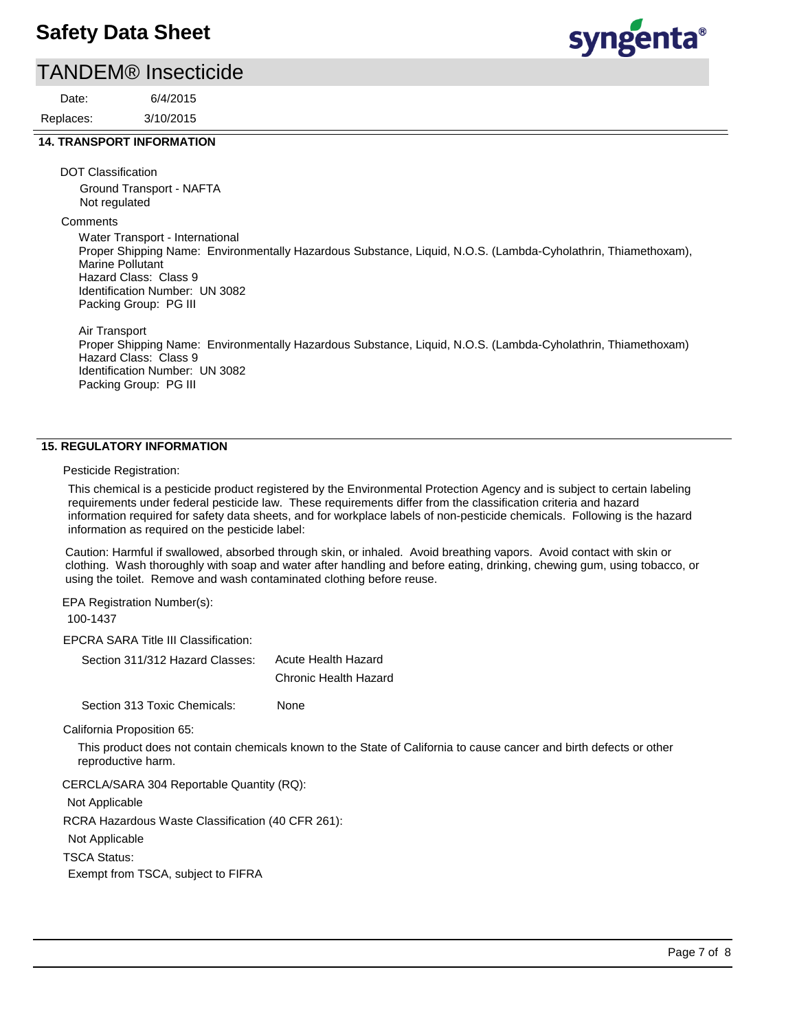### TANDEM® Insecticide

3/10/2015 6/4/2015 Replaces: Date:

### **14. TRANSPORT INFORMATION**

DOT Classification

Ground Transport - NAFTA Not regulated

**Comments** 

Water Transport - International Proper Shipping Name: Environmentally Hazardous Substance, Liquid, N.O.S. (Lambda-Cyholathrin, Thiamethoxam), Marine Pollutant Hazard Class: Class 9 Identification Number: UN 3082 Packing Group: PG III

Air Transport Proper Shipping Name: Environmentally Hazardous Substance, Liquid, N.O.S. (Lambda-Cyholathrin, Thiamethoxam) Hazard Class: Class 9 Identification Number: UN 3082 Packing Group: PG III

### **15. REGULATORY INFORMATION**

Pesticide Registration:

This chemical is a pesticide product registered by the Environmental Protection Agency and is subject to certain labeling requirements under federal pesticide law. These requirements differ from the classification criteria and hazard information required for safety data sheets, and for workplace labels of non-pesticide chemicals. Following is the hazard information as required on the pesticide label:

Caution: Harmful if swallowed, absorbed through skin, or inhaled. Avoid breathing vapors. Avoid contact with skin or clothing. Wash thoroughly with soap and water after handling and before eating, drinking, chewing gum, using tobacco, or using the toilet. Remove and wash contaminated clothing before reuse.

EPA Registration Number(s):

100-1437

EPCRA SARA Title III Classification:

Section 311/312 Hazard Classes: Acute Health Hazard Chronic Health Hazard

Section 313 Toxic Chemicals: None

California Proposition 65:

This product does not contain chemicals known to the State of California to cause cancer and birth defects or other reproductive harm.

CERCLA/SARA 304 Reportable Quantity (RQ):

Not Applicable

RCRA Hazardous Waste Classification (40 CFR 261):

Not Applicable

TSCA Status:

Exempt from TSCA, subject to FIFRA